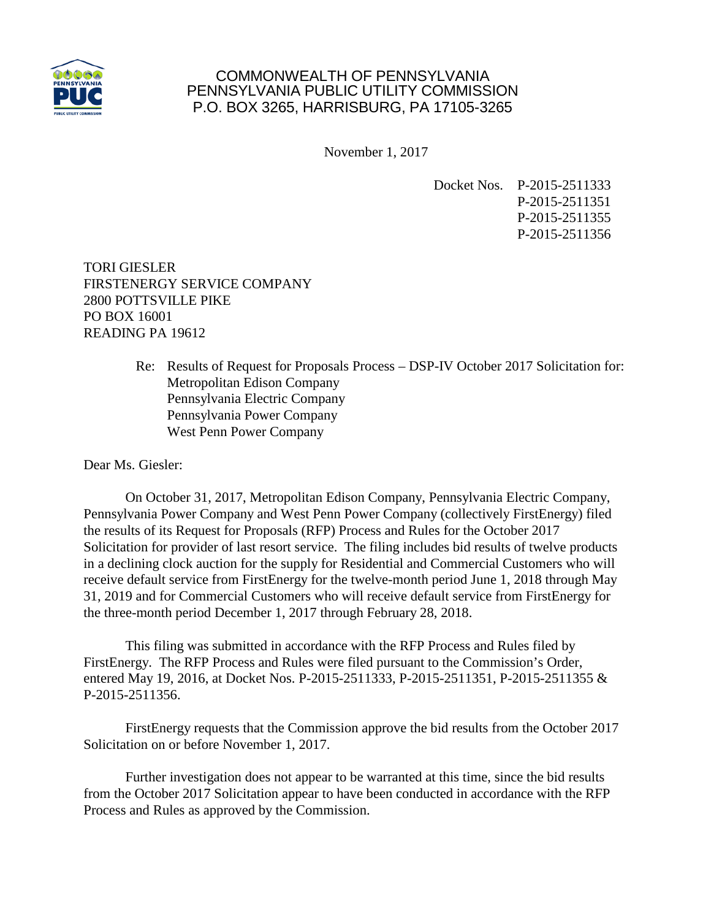

## COMMONWEALTH OF PENNSYLVANIA PENNSYLVANIA PUBLIC UTILITY COMMISSION P.O. BOX 3265, HARRISBURG, PA 17105-3265

November 1, 2017

Docket Nos. P-2015-2511333 P-2015-2511351 P-2015-2511355 P-2015-2511356

TORI GIESLER FIRSTENERGY SERVICE COMPANY 2800 POTTSVILLE PIKE PO BOX 16001 READING PA 19612

> Re: Results of Request for Proposals Process – DSP-IV October 2017 Solicitation for: Metropolitan Edison Company Pennsylvania Electric Company Pennsylvania Power Company West Penn Power Company

Dear Ms. Giesler:

On October 31, 2017, Metropolitan Edison Company, Pennsylvania Electric Company, Pennsylvania Power Company and West Penn Power Company (collectively FirstEnergy) filed the results of its Request for Proposals (RFP) Process and Rules for the October 2017 Solicitation for provider of last resort service. The filing includes bid results of twelve products in a declining clock auction for the supply for Residential and Commercial Customers who will receive default service from FirstEnergy for the twelve-month period June 1, 2018 through May 31, 2019 and for Commercial Customers who will receive default service from FirstEnergy for the three-month period December 1, 2017 through February 28, 2018.

This filing was submitted in accordance with the RFP Process and Rules filed by FirstEnergy. The RFP Process and Rules were filed pursuant to the Commission's Order, entered May 19, 2016, at Docket Nos. P-2015-2511333, P-2015-2511351, P-2015-2511355 & P-2015-2511356.

FirstEnergy requests that the Commission approve the bid results from the October 2017 Solicitation on or before November 1, 2017.

Further investigation does not appear to be warranted at this time, since the bid results from the October 2017 Solicitation appear to have been conducted in accordance with the RFP Process and Rules as approved by the Commission.